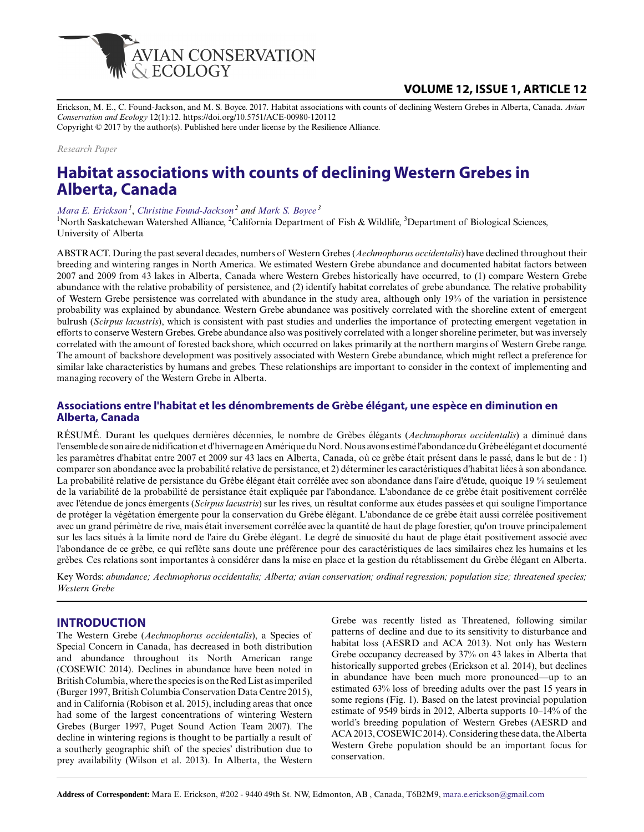

# **VOLUME 12, ISSUE 1, ARTICLE 12**

Erickson, M. E., C. Found-Jackson, and M. S. Boyce. 2017. Habitat associations with counts of declining Western Grebes in Alberta, Canada. *Avian Conservation and Ecology* 12(1):12. https://doi.org/10.5751/ACE-00980-120112 Copyright © 2017 by the author(s). Published here under license by the Resilience Alliance.

#### *Research Paper*

# **Habitat associations with counts of declining Western Grebes in Alberta, Canada**

## *[Mara E. Erickson](mailto:mara.e.erickson@gmail.com)<sup>1</sup>* , *[Christine Found-Jackson](mailto:christine.found-jackson@wildlife.ca.gov)<sup>2</sup> and [Mark S. Boyce](mailto:boyce@ualberta.ca)<sup>3</sup>*

<sup>1</sup>North Saskatchewan Watershed Alliance, <sup>2</sup>California Department of Fish & Wildlife, <sup>3</sup>Department of Biological Sciences, University of Alberta

ABSTRACT. During the past several decades, numbers of Western Grebes (*Aechmophorus occidentalis*) have declined throughout their breeding and wintering ranges in North America. We estimated Western Grebe abundance and documented habitat factors between 2007 and 2009 from 43 lakes in Alberta, Canada where Western Grebes historically have occurred, to (1) compare Western Grebe abundance with the relative probability of persistence, and (2) identify habitat correlates of grebe abundance. The relative probability of Western Grebe persistence was correlated with abundance in the study area, although only 19% of the variation in persistence probability was explained by abundance. Western Grebe abundance was positively correlated with the shoreline extent of emergent bulrush (*Scirpus lacustris*), which is consistent with past studies and underlies the importance of protecting emergent vegetation in efforts to conserve Western Grebes. Grebe abundance also was positively correlated with a longer shoreline perimeter, but was inversely correlated with the amount of forested backshore, which occurred on lakes primarily at the northern margins of Western Grebe range. The amount of backshore development was positively associated with Western Grebe abundance, which might reflect a preference for similar lake characteristics by humans and grebes. These relationships are important to consider in the context of implementing and managing recovery of the Western Grebe in Alberta.

## **Associations entre l'habitat et les dénombrements de Grèbe élégant, une espèce en diminution en Alberta, Canada**

RÉSUMÉ. Durant les quelques dernières décennies, le nombre de Grèbes élégants (*Aechmophorus occidentalis*) a diminué dans l'ensemble de son aire de nidification et d'hivernage en Amérique du Nord. Nous avons estimé l'abondance du Grèbe élégant et documenté les paramètres d'habitat entre 2007 et 2009 sur 43 lacs en Alberta, Canada, où ce grèbe était présent dans le passé, dans le but de : 1) comparer son abondance avec la probabilité relative de persistance, et 2) déterminer les caractéristiques d'habitat liées à son abondance. La probabilité relative de persistance du Grèbe élégant était corrélée avec son abondance dans l'aire d'étude, quoique 19 % seulement de la variabilité de la probabilité de persistance était expliquée par l'abondance. L'abondance de ce grèbe était positivement corrélée avec l'étendue de joncs émergents (*Scirpus lacustris*) sur les rives, un résultat conforme aux études passées et qui souligne l'importance de protéger la végétation émergente pour la conservation du Grèbe élégant. L'abondance de ce grèbe était aussi corrélée positivement avec un grand périmètre de rive, mais était inversement corrélée avec la quantité de haut de plage forestier, qu'on trouve principalement sur les lacs situés à la limite nord de l'aire du Grèbe élégant. Le degré de sinuosité du haut de plage était positivement associé avec l'abondance de ce grèbe, ce qui reflète sans doute une préférence pour des caractéristiques de lacs similaires chez les humains et les grèbes. Ces relations sont importantes à considérer dans la mise en place et la gestion du rétablissement du Grèbe élégant en Alberta.

Key Words: *abundance; Aechmophorus occidentalis; Alberta; avian conservation; ordinal regression; population size; threatened species; Western Grebe*

# **INTRODUCTION**

The Western Grebe (*Aechmophorus occidentalis*), a Species of Special Concern in Canada, has decreased in both distribution and abundance throughout its North American range (COSEWIC 2014). Declines in abundance have been noted in British Columbia, where the species is on the Red List as imperiled (Burger 1997, British Columbia Conservation Data Centre 2015), and in California (Robison et al. 2015), including areas that once had some of the largest concentrations of wintering Western Grebes (Burger 1997, Puget Sound Action Team 2007). The decline in wintering regions is thought to be partially a result of a southerly geographic shift of the species' distribution due to prey availability (Wilson et al. 2013). In Alberta, the Western

Grebe was recently listed as Threatened, following similar patterns of decline and due to its sensitivity to disturbance and habitat loss (AESRD and ACA 2013). Not only has Western Grebe occupancy decreased by 37% on 43 lakes in Alberta that historically supported grebes (Erickson et al. 2014), but declines in abundance have been much more pronounced—up to an estimated 63% loss of breeding adults over the past 15 years in some regions (Fig. 1). Based on the latest provincial population estimate of 9549 birds in 2012, Alberta supports 10–14% of the world's breeding population of Western Grebes (AESRD and ACA 2013, COSEWIC 2014). Considering these data, the Alberta Western Grebe population should be an important focus for conservation.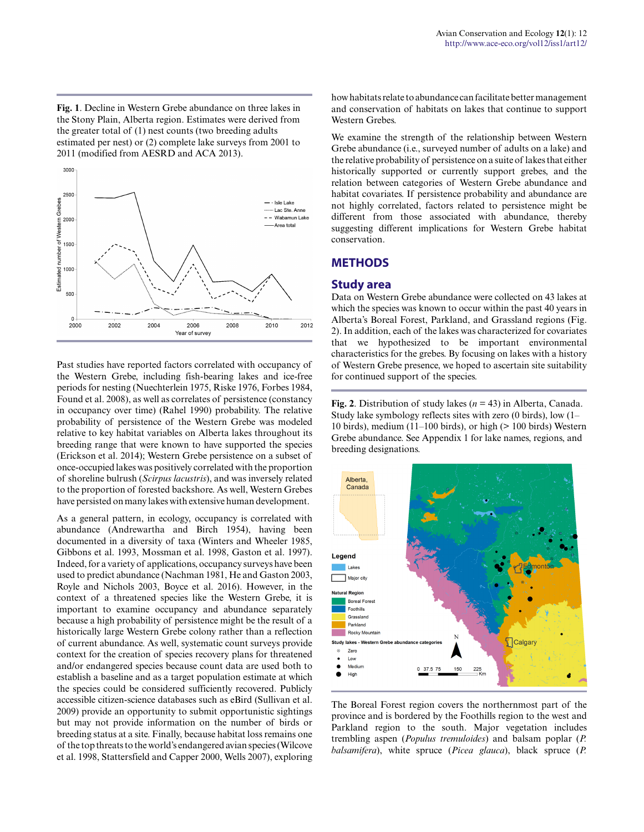**Fig. 1**. Decline in Western Grebe abundance on three lakes in the Stony Plain, Alberta region. Estimates were derived from the greater total of (1) nest counts (two breeding adults estimated per nest) or (2) complete lake surveys from 2001 to 2011 (modified from AESRD and ACA 2013).



Past studies have reported factors correlated with occupancy of the Western Grebe, including fish-bearing lakes and ice-free periods for nesting (Nuechterlein 1975, Riske 1976, Forbes 1984, Found et al. 2008), as well as correlates of persistence (constancy in occupancy over time) (Rahel 1990) probability. The relative probability of persistence of the Western Grebe was modeled relative to key habitat variables on Alberta lakes throughout its breeding range that were known to have supported the species (Erickson et al. 2014); Western Grebe persistence on a subset of once-occupied lakes was positively correlated with the proportion of shoreline bulrush (*Scirpus lacustris*), and was inversely related to the proportion of forested backshore. As well, Western Grebes have persisted on many lakes with extensive human development.

As a general pattern, in ecology, occupancy is correlated with abundance (Andrewartha and Birch 1954), having been documented in a diversity of taxa (Winters and Wheeler 1985, Gibbons et al. 1993, Mossman et al. 1998, Gaston et al. 1997). Indeed, for a variety of applications, occupancy surveys have been used to predict abundance (Nachman 1981, He and Gaston 2003, Royle and Nichols 2003, Boyce et al. 2016). However, in the context of a threatened species like the Western Grebe, it is important to examine occupancy and abundance separately because a high probability of persistence might be the result of a historically large Western Grebe colony rather than a reflection of current abundance. As well, systematic count surveys provide context for the creation of species recovery plans for threatened and/or endangered species because count data are used both to establish a baseline and as a target population estimate at which the species could be considered sufficiently recovered. Publicly accessible citizen-science databases such as eBird (Sullivan et al. 2009) provide an opportunity to submit opportunistic sightings but may not provide information on the number of birds or breeding status at a site. Finally, because habitat loss remains one of the top threats to the world's endangered avian species (Wilcove et al. 1998, Stattersfield and Capper 2000, Wells 2007), exploring how habitats relate to abundance can facilitate better management and conservation of habitats on lakes that continue to support Western Grebes.

We examine the strength of the relationship between Western Grebe abundance (i.e., surveyed number of adults on a lake) and the relative probability of persistence on a suite of lakes that either historically supported or currently support grebes, and the relation between categories of Western Grebe abundance and habitat covariates. If persistence probability and abundance are not highly correlated, factors related to persistence might be different from those associated with abundance, thereby suggesting different implications for Western Grebe habitat conservation.

# **METHODS**

# **Study area**

Data on Western Grebe abundance were collected on 43 lakes at which the species was known to occur within the past 40 years in Alberta's Boreal Forest, Parkland, and Grassland regions (Fig. 2). In addition, each of the lakes was characterized for covariates that we hypothesized to be important environmental characteristics for the grebes. By focusing on lakes with a history of Western Grebe presence, we hoped to ascertain site suitability for continued support of the species.

**Fig. 2.** Distribution of study lakes  $(n = 43)$  in Alberta, Canada. Study lake symbology reflects sites with zero (0 birds), low (1– 10 birds), medium (11–100 birds), or high  $(> 100$  birds) Western Grebe abundance. See Appendix 1 for lake names, regions, and breeding designations.



The Boreal Forest region covers the northernmost part of the province and is bordered by the Foothills region to the west and Parkland region to the south. Major vegetation includes trembling aspen (*Populus tremuloides*) and balsam poplar (*P. balsamifera*), white spruce (*Picea glauca*), black spruce (*P.*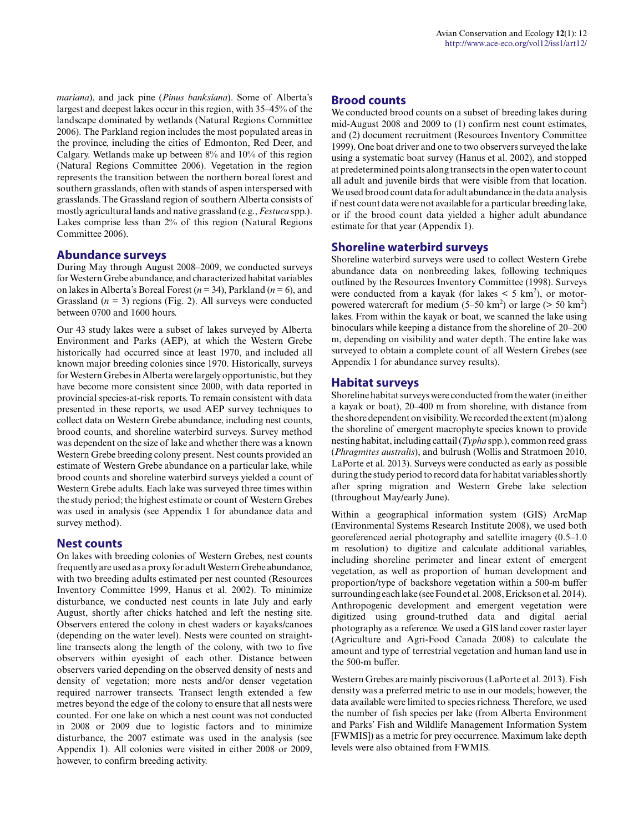*mariana*), and jack pine (*Pinus banksiana*). Some of Alberta's largest and deepest lakes occur in this region, with 35–45% of the landscape dominated by wetlands (Natural Regions Committee 2006). The Parkland region includes the most populated areas in the province, including the cities of Edmonton, Red Deer, and Calgary. Wetlands make up between 8% and 10% of this region (Natural Regions Committee 2006). Vegetation in the region represents the transition between the northern boreal forest and southern grasslands, often with stands of aspen interspersed with grasslands. The Grassland region of southern Alberta consists of mostly agricultural lands and native grassland (e.g., *Festuca* spp.). Lakes comprise less than 2% of this region (Natural Regions Committee 2006).

# **Abundance surveys**

During May through August 2008–2009, we conducted surveys for Western Grebe abundance, and characterized habitat variables on lakes in Alberta's Boreal Forest (*n* = 34), Parkland (*n* = 6), and Grassland  $(n = 3)$  regions (Fig. 2). All surveys were conducted between 0700 and 1600 hours.

Our 43 study lakes were a subset of lakes surveyed by Alberta Environment and Parks (AEP), at which the Western Grebe historically had occurred since at least 1970, and included all known major breeding colonies since 1970. Historically, surveys for Western Grebes in Alberta were largely opportunistic, but they have become more consistent since 2000, with data reported in provincial species-at-risk reports. To remain consistent with data presented in these reports, we used AEP survey techniques to collect data on Western Grebe abundance, including nest counts, brood counts, and shoreline waterbird surveys. Survey method was dependent on the size of lake and whether there was a known Western Grebe breeding colony present. Nest counts provided an estimate of Western Grebe abundance on a particular lake, while brood counts and shoreline waterbird surveys yielded a count of Western Grebe adults. Each lake was surveyed three times within the study period; the highest estimate or count of Western Grebes was used in analysis (see Appendix 1 for abundance data and survey method).

# **Nest counts**

On lakes with breeding colonies of Western Grebes, nest counts frequently are used as a proxy for adult Western Grebe abundance, with two breeding adults estimated per nest counted (Resources Inventory Committee 1999, Hanus et al. 2002). To minimize disturbance, we conducted nest counts in late July and early August, shortly after chicks hatched and left the nesting site. Observers entered the colony in chest waders or kayaks/canoes (depending on the water level). Nests were counted on straightline transects along the length of the colony, with two to five observers within eyesight of each other. Distance between observers varied depending on the observed density of nests and density of vegetation; more nests and/or denser vegetation required narrower transects. Transect length extended a few metres beyond the edge of the colony to ensure that all nests were counted. For one lake on which a nest count was not conducted in 2008 or 2009 due to logistic factors and to minimize disturbance, the 2007 estimate was used in the analysis (see Appendix 1). All colonies were visited in either 2008 or 2009, however, to confirm breeding activity.

# **Brood counts**

We conducted brood counts on a subset of breeding lakes during mid-August 2008 and 2009 to (1) confirm nest count estimates, and (2) document recruitment (Resources Inventory Committee 1999). One boat driver and one to two observers surveyed the lake using a systematic boat survey (Hanus et al. 2002), and stopped at predetermined points along transects in the open water to count all adult and juvenile birds that were visible from that location. We used brood count data for adult abundance in the data analysis if nest count data were not available for a particular breeding lake, or if the brood count data yielded a higher adult abundance estimate for that year (Appendix 1).

# **Shoreline waterbird surveys**

Shoreline waterbird surveys were used to collect Western Grebe abundance data on nonbreeding lakes, following techniques outlined by the Resources Inventory Committee (1998). Surveys were conducted from a kayak (for lakes  $\leq 5 \text{ km}^2$ ), or motorpowered watercraft for medium  $(5-50 \text{ km}^2)$  or large (> 50 km<sup>2</sup>) lakes. From within the kayak or boat, we scanned the lake using binoculars while keeping a distance from the shoreline of 20–200 m, depending on visibility and water depth. The entire lake was surveyed to obtain a complete count of all Western Grebes (see Appendix 1 for abundance survey results).

# **Habitat surveys**

Shoreline habitat surveys were conducted from the water (in either a kayak or boat), 20–400 m from shoreline, with distance from the shore dependent on visibility. We recorded the extent (m) along the shoreline of emergent macrophyte species known to provide nesting habitat, including cattail (*Typha* spp.), common reed grass (*Phragmites australis*), and bulrush (Wollis and Stratmoen 2010, LaPorte et al. 2013). Surveys were conducted as early as possible during the study period to record data for habitat variables shortly after spring migration and Western Grebe lake selection (throughout May/early June).

Within a geographical information system (GIS) ArcMap (Environmental Systems Research Institute 2008), we used both georeferenced aerial photography and satellite imagery (0.5–1.0 m resolution) to digitize and calculate additional variables, including shoreline perimeter and linear extent of emergent vegetation, as well as proportion of human development and proportion/type of backshore vegetation within a 500-m buffer surrounding each lake (see Found et al. 2008, Erickson et al. 2014). Anthropogenic development and emergent vegetation were digitized using ground-truthed data and digital aerial photography as a reference. We used a GIS land cover raster layer (Agriculture and Agri-Food Canada 2008) to calculate the amount and type of terrestrial vegetation and human land use in the 500-m buffer.

Western Grebes are mainly piscivorous (LaPorte et al. 2013). Fish density was a preferred metric to use in our models; however, the data available were limited to species richness. Therefore, we used the number of fish species per lake (from Alberta Environment and Parks' Fish and Wildlife Management Information System [FWMIS]) as a metric for prey occurrence. Maximum lake depth levels were also obtained from FWMIS.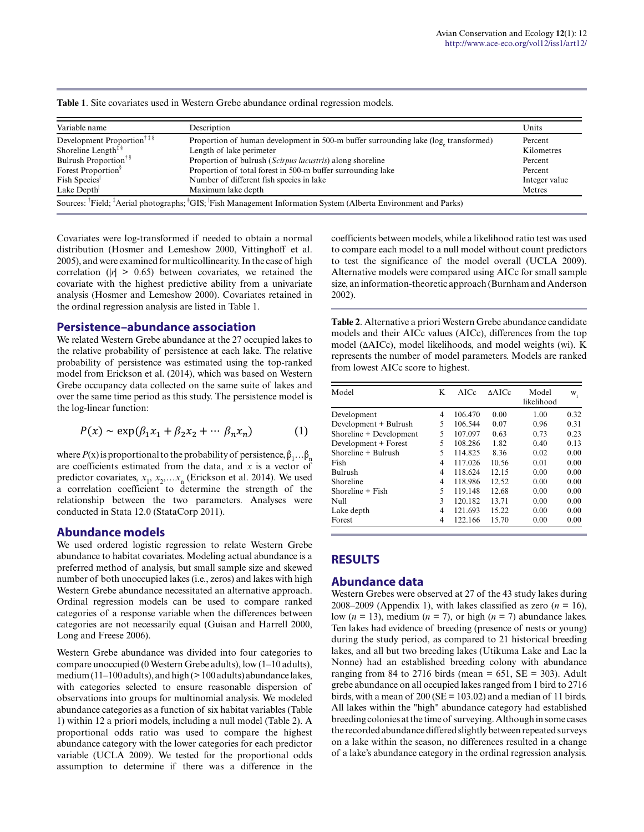| Variable name                         | Description                                                                        | Units         |
|---------------------------------------|------------------------------------------------------------------------------------|---------------|
| Development Proportion <sup>†‡§</sup> | Proportion of human development in 500-m buffer surrounding lake (log transformed) | Percent       |
| Shoreline Length <sup>18</sup>        | Length of lake perimeter                                                           | Kilometres    |
| Bulrush Proportion <sup>†§</sup>      | Proportion of bulrush (Scirpus lacustris) along shoreline                          | Percent       |
| Forest Proportion <sup>8</sup>        | Proportion of total forest in 500-m buffer surrounding lake                        | Percent       |
| Fish Species                          | Number of different fish species in lake                                           | Integer value |
| Lake Depth                            | Maximum lake depth                                                                 | Metres        |

**Table 1**. Site covariates used in Western Grebe abundance ordinal regression models.

Covariates were log-transformed if needed to obtain a normal distribution (Hosmer and Lemeshow 2000, Vittinghoff et al. 2005), and were examined for multicollinearity. In the case of high correlation  $(|r| > 0.65)$  between covariates, we retained the covariate with the highest predictive ability from a univariate analysis (Hosmer and Lemeshow 2000). Covariates retained in the ordinal regression analysis are listed in Table 1.

## **Persistence–abundance association**

We related Western Grebe abundance at the 27 occupied lakes to the relative probability of persistence at each lake. The relative probability of persistence was estimated using the top-ranked model from Erickson et al. (2014), which was based on Western Grebe occupancy data collected on the same suite of lakes and over the same time period as this study. The persistence model is the log-linear function:

$$
P(x) \sim \exp(\beta_1 x_1 + \beta_2 x_2 + \cdots \beta_n x_n) \tag{1}
$$

where  $P(x)$  is proportional to the probability of persistence,  $\beta_1 \dots \beta_n$ are coefficients estimated from the data, and *x* is a vector of predictor covariates,  $x_1, x_2, \ldots, x_n$  (Erickson et al. 2014). We used a correlation coefficient to determine the strength of the relationship between the two parameters. Analyses were conducted in Stata 12.0 (StataCorp 2011).

#### **Abundance models**

We used ordered logistic regression to relate Western Grebe abundance to habitat covariates. Modeling actual abundance is a preferred method of analysis, but small sample size and skewed number of both unoccupied lakes (i.e., zeros) and lakes with high Western Grebe abundance necessitated an alternative approach. Ordinal regression models can be used to compare ranked categories of a response variable when the differences between categories are not necessarily equal (Guisan and Harrell 2000, Long and Freese 2006).

Western Grebe abundance was divided into four categories to compare unoccupied (0 Western Grebe adults), low (1–10 adults), medium (11–100 adults), and high (> 100 adults) abundance lakes, with categories selected to ensure reasonable dispersion of observations into groups for multinomial analysis. We modeled abundance categories as a function of six habitat variables (Table 1) within 12 a priori models, including a null model (Table 2). A proportional odds ratio was used to compare the highest abundance category with the lower categories for each predictor variable (UCLA 2009). We tested for the proportional odds assumption to determine if there was a difference in the coefficients between models, while a likelihood ratio test was used to compare each model to a null model without count predictors to test the significance of the model overall (UCLA 2009). Alternative models were compared using AICc for small sample size, an information-theoretic approach (Burnham and Anderson 2002).

**Table 2**. Alternative a priori Western Grebe abundance candidate models and their AICc values (AICc), differences from the top model (ΔAICc), model likelihoods, and model weights (wi). K represents the number of model parameters. Models are ranked from lowest AICc score to highest.

| Model                   | K | AICc    | <b>AAICc</b> | Model<br>likelihood | w.   |
|-------------------------|---|---------|--------------|---------------------|------|
| Development             | 4 | 106.470 | 0.00         | 1.00                | 0.32 |
| Development + Bulrush   | 5 | 106.544 | 0.07         | 0.96                | 0.31 |
| Shoreline + Development | 5 | 107.097 | 0.63         | 0.73                | 0.23 |
| Development + Forest    | 5 | 108.286 | 1.82         | 0.40                | 0.13 |
| $Shortine + Bulrush$    | 5 | 114.825 | 8.36         | 0.02                | 0.00 |
| Fish                    | 4 | 117.026 | 10.56        | 0.01                | 0.00 |
| <b>Bulrush</b>          | 4 | 118.624 | 12.15        | 0.00                | 0.00 |
| Shoreline               | 4 | 118.986 | 12.52        | 0.00                | 0.00 |
| $Shoreline + Fish$      | 5 | 119.148 | 12.68        | 0.00                | 0.00 |
| Null                    | 3 | 120.182 | 13.71        | 0.00                | 0.00 |
| Lake depth              | 4 | 121.693 | 15.22        | 0.00                | 0.00 |
| Forest                  | 4 | 122.166 | 15.70        | 0.00                | 0.00 |

# **RESULTS**

# **Abundance data**

Western Grebes were observed at 27 of the 43 study lakes during 2008–2009 (Appendix 1), with lakes classified as zero  $(n = 16)$ , low  $(n = 13)$ , medium  $(n = 7)$ , or high  $(n = 7)$  abundance lakes. Ten lakes had evidence of breeding (presence of nests or young) during the study period, as compared to 21 historical breeding lakes, and all but two breeding lakes (Utikuma Lake and Lac la Nonne) had an established breeding colony with abundance ranging from 84 to 2716 birds (mean = 651,  $SE = 303$ ). Adult grebe abundance on all occupied lakes ranged from 1 bird to 2716 birds, with a mean of  $200$  (SE = 103.02) and a median of 11 birds. All lakes within the "high" abundance category had established breeding colonies at the time of surveying. Although in some cases the recorded abundance differed slightly between repeated surveys on a lake within the season, no differences resulted in a change of a lake's abundance category in the ordinal regression analysis.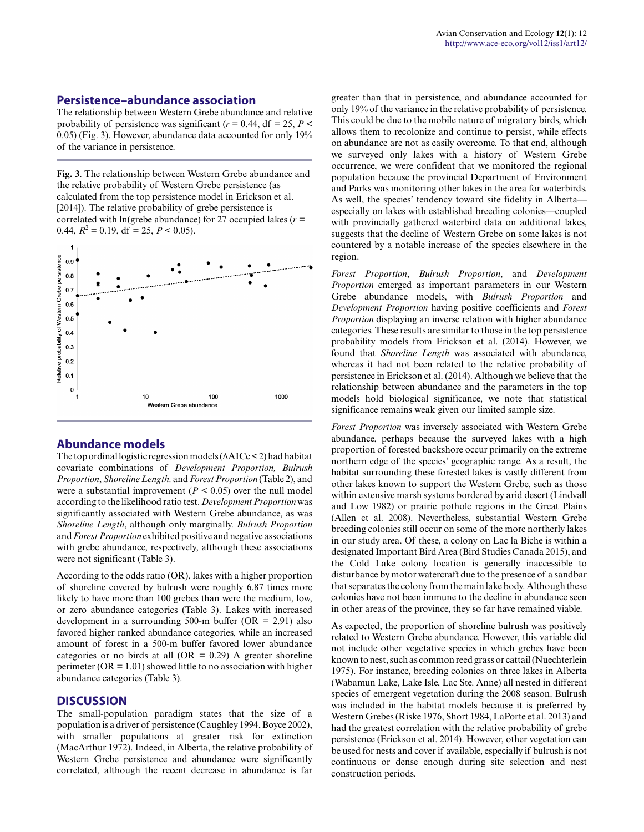# **Persistence–abundance association**

The relationship between Western Grebe abundance and relative probability of persistence was significant ( $r = 0.44$ , df = 25,  $P \le$ 0.05) (Fig. 3). However, abundance data accounted for only 19% of the variance in persistence.

**Fig. 3**. The relationship between Western Grebe abundance and the relative probability of Western Grebe persistence (as calculated from the top persistence model in Erickson et al. [2014]). The relative probability of grebe persistence is correlated with ln(grebe abundance) for 27 occupied lakes (*r* = 0.44,  $R^2 = 0.19$ , df = 25,  $P < 0.05$ ).



#### **Abundance models**

The top ordinal logistic regression models (ΔAICc < 2) had habitat covariate combinations of *Development Proportion, Bulrush Proportion*, *Shoreline Length,* and *Forest Proportion* (Table 2), and were a substantial improvement  $(P < 0.05)$  over the null model according to the likelihood ratio test. *Development Proportion* was significantly associated with Western Grebe abundance, as was *Shoreline Length*, although only marginally. *Bulrush Proportion* and *Forest Proportion* exhibited positive and negative associations with grebe abundance, respectively, although these associations were not significant (Table 3).

According to the odds ratio (OR), lakes with a higher proportion of shoreline covered by bulrush were roughly 6.87 times more likely to have more than 100 grebes than were the medium, low, or zero abundance categories (Table 3). Lakes with increased development in a surrounding 500-m buffer  $(OR = 2.91)$  also favored higher ranked abundance categories, while an increased amount of forest in a 500-m buffer favored lower abundance categories or no birds at all  $(OR = 0.29)$  A greater shoreline perimeter ( $OR = 1.01$ ) showed little to no association with higher abundance categories (Table 3).

#### **DISCUSSION**

The small-population paradigm states that the size of a population is a driver of persistence (Caughley 1994, Boyce 2002), with smaller populations at greater risk for extinction (MacArthur 1972). Indeed, in Alberta, the relative probability of Western Grebe persistence and abundance were significantly correlated, although the recent decrease in abundance is far

greater than that in persistence, and abundance accounted for only 19% of the variance in the relative probability of persistence. This could be due to the mobile nature of migratory birds, which allows them to recolonize and continue to persist, while effects on abundance are not as easily overcome. To that end, although we surveyed only lakes with a history of Western Grebe occurrence, we were confident that we monitored the regional population because the provincial Department of Environment and Parks was monitoring other lakes in the area for waterbirds. As well, the species' tendency toward site fidelity in Alberta especially on lakes with established breeding colonies—coupled with provincially gathered waterbird data on additional lakes, suggests that the decline of Western Grebe on some lakes is not countered by a notable increase of the species elsewhere in the region.

*Forest Proportion*, *Bulrush Proportion*, and *Development Proportion* emerged as important parameters in our Western Grebe abundance models, with *Bulrush Proportion* and *Development Proportion* having positive coefficients and *Forest Proportion* displaying an inverse relation with higher abundance categories. These results are similar to those in the top persistence probability models from Erickson et al. (2014). However, we found that *Shoreline Length* was associated with abundance, whereas it had not been related to the relative probability of persistence in Erickson et al. (2014). Although we believe that the relationship between abundance and the parameters in the top models hold biological significance, we note that statistical significance remains weak given our limited sample size.

*Forest Proportion* was inversely associated with Western Grebe abundance, perhaps because the surveyed lakes with a high proportion of forested backshore occur primarily on the extreme northern edge of the species' geographic range. As a result, the habitat surrounding these forested lakes is vastly different from other lakes known to support the Western Grebe, such as those within extensive marsh systems bordered by arid desert (Lindvall and Low 1982) or prairie pothole regions in the Great Plains (Allen et al. 2008). Nevertheless, substantial Western Grebe breeding colonies still occur on some of the more northerly lakes in our study area. Of these, a colony on Lac la Biche is within a designated Important Bird Area (Bird Studies Canada 2015), and the Cold Lake colony location is generally inaccessible to disturbance by motor watercraft due to the presence of a sandbar that separates the colony from the main lake body. Although these colonies have not been immune to the decline in abundance seen in other areas of the province, they so far have remained viable.

As expected, the proportion of shoreline bulrush was positively related to Western Grebe abundance. However, this variable did not include other vegetative species in which grebes have been known to nest, such as common reed grass or cattail (Nuechterlein 1975). For instance, breeding colonies on three lakes in Alberta (Wabamun Lake, Lake Isle, Lac Ste. Anne) all nested in different species of emergent vegetation during the 2008 season. Bulrush was included in the habitat models because it is preferred by Western Grebes (Riske 1976, Short 1984, LaPorte et al. 2013) and had the greatest correlation with the relative probability of grebe persistence (Erickson et al. 2014). However, other vegetation can be used for nests and cover if available, especially if bulrush is not continuous or dense enough during site selection and nest construction periods.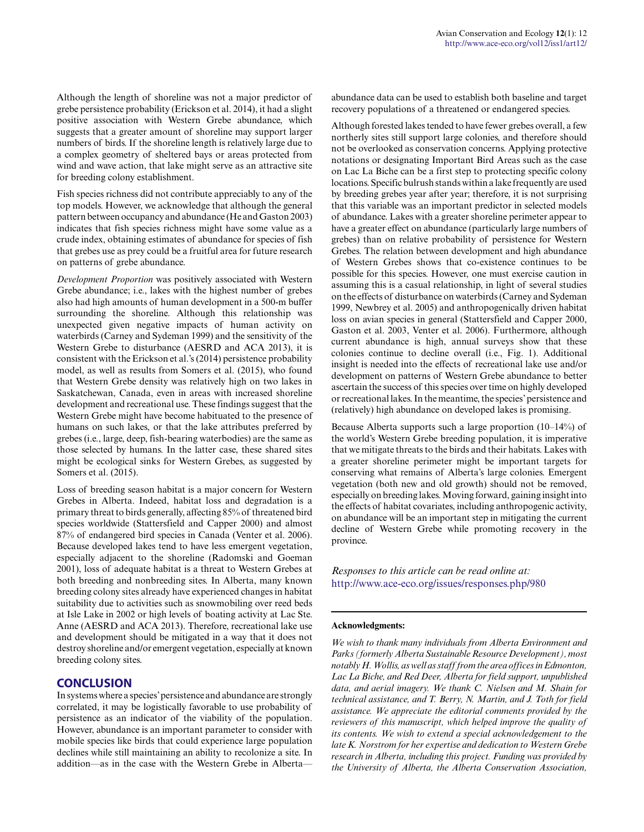Although the length of shoreline was not a major predictor of grebe persistence probability (Erickson et al. 2014), it had a slight positive association with Western Grebe abundance, which suggests that a greater amount of shoreline may support larger numbers of birds. If the shoreline length is relatively large due to a complex geometry of sheltered bays or areas protected from wind and wave action, that lake might serve as an attractive site for breeding colony establishment.

Fish species richness did not contribute appreciably to any of the top models. However, we acknowledge that although the general pattern between occupancy and abundance (He and Gaston 2003) indicates that fish species richness might have some value as a crude index, obtaining estimates of abundance for species of fish that grebes use as prey could be a fruitful area for future research on patterns of grebe abundance.

*Development Proportion* was positively associated with Western Grebe abundance; i.e., lakes with the highest number of grebes also had high amounts of human development in a 500-m buffer surrounding the shoreline. Although this relationship was unexpected given negative impacts of human activity on waterbirds (Carney and Sydeman 1999) and the sensitivity of the Western Grebe to disturbance (AESRD and ACA 2013), it is consistent with the Erickson et al.'s (2014) persistence probability model, as well as results from Somers et al. (2015), who found that Western Grebe density was relatively high on two lakes in Saskatchewan, Canada, even in areas with increased shoreline development and recreational use. These findings suggest that the Western Grebe might have become habituated to the presence of humans on such lakes, or that the lake attributes preferred by grebes (i.e., large, deep, fish-bearing waterbodies) are the same as those selected by humans. In the latter case, these shared sites might be ecological sinks for Western Grebes, as suggested by Somers et al. (2015).

Loss of breeding season habitat is a major concern for Western Grebes in Alberta. Indeed, habitat loss and degradation is a primary threat to birds generally, affecting 85% of threatened bird species worldwide (Stattersfield and Capper 2000) and almost 87% of endangered bird species in Canada (Venter et al. 2006). Because developed lakes tend to have less emergent vegetation, especially adjacent to the shoreline (Radomski and Goeman 2001), loss of adequate habitat is a threat to Western Grebes at both breeding and nonbreeding sites. In Alberta, many known breeding colony sites already have experienced changes in habitat suitability due to activities such as snowmobiling over reed beds at Isle Lake in 2002 or high levels of boating activity at Lac Ste. Anne (AESRD and ACA 2013). Therefore, recreational lake use and development should be mitigated in a way that it does not destroy shoreline and/or emergent vegetation, especially at known breeding colony sites.

# **CONCLUSION**

In systems where a species' persistence and abundance are strongly correlated, it may be logistically favorable to use probability of persistence as an indicator of the viability of the population. However, abundance is an important parameter to consider with mobile species like birds that could experience large population declines while still maintaining an ability to recolonize a site. In addition—as in the case with the Western Grebe in Albertaabundance data can be used to establish both baseline and target recovery populations of a threatened or endangered species.

Although forested lakes tended to have fewer grebes overall, a few northerly sites still support large colonies, and therefore should not be overlooked as conservation concerns. Applying protective notations or designating Important Bird Areas such as the case on Lac La Biche can be a first step to protecting specific colony locations. Specific bulrush stands within a lake frequently are used by breeding grebes year after year; therefore, it is not surprising that this variable was an important predictor in selected models of abundance. Lakes with a greater shoreline perimeter appear to have a greater effect on abundance (particularly large numbers of grebes) than on relative probability of persistence for Western Grebes. The relation between development and high abundance of Western Grebes shows that co-existence continues to be possible for this species. However, one must exercise caution in assuming this is a casual relationship, in light of several studies on the effects of disturbance on waterbirds (Carney and Sydeman 1999, Newbrey et al. 2005) and anthropogenically driven habitat loss on avian species in general (Stattersfield and Capper 2000, Gaston et al. 2003, Venter et al. 2006). Furthermore, although current abundance is high, annual surveys show that these colonies continue to decline overall (i.e., Fig. 1). Additional insight is needed into the effects of recreational lake use and/or development on patterns of Western Grebe abundance to better ascertain the success of this species over time on highly developed or recreational lakes. In the meantime, the species' persistence and (relatively) high abundance on developed lakes is promising.

Because Alberta supports such a large proportion (10–14%) of the world's Western Grebe breeding population, it is imperative that we mitigate threats to the birds and their habitats. Lakes with a greater shoreline perimeter might be important targets for conserving what remains of Alberta's large colonies. Emergent vegetation (both new and old growth) should not be removed, especially on breeding lakes. Moving forward, gaining insight into the effects of habitat covariates, including anthropogenic activity, on abundance will be an important step in mitigating the current decline of Western Grebe while promoting recovery in the province.

*Responses to this article can be read online at:* <http://www.ace-eco.org/issues/responses.php/980>

#### **Acknowledgments:**

*We wish to thank many individuals from Alberta Environment and Parks (formerly Alberta Sustainable Resource Development), most notably H. Wollis, as well as staff from the area offices in Edmonton, Lac La Biche, and Red Deer, Alberta for field support, unpublished data, and aerial imagery. We thank C. Nielsen and M. Shain for technical assistance, and T. Berry, N. Martin, and J. Toth for field assistance. We appreciate the editorial comments provided by the reviewers of this manuscript, which helped improve the quality of its contents. We wish to extend a special acknowledgement to the late K. Norstrom for her expertise and dedication to Western Grebe research in Alberta, including this project. Funding was provided by the University of Alberta, the Alberta Conservation Association,*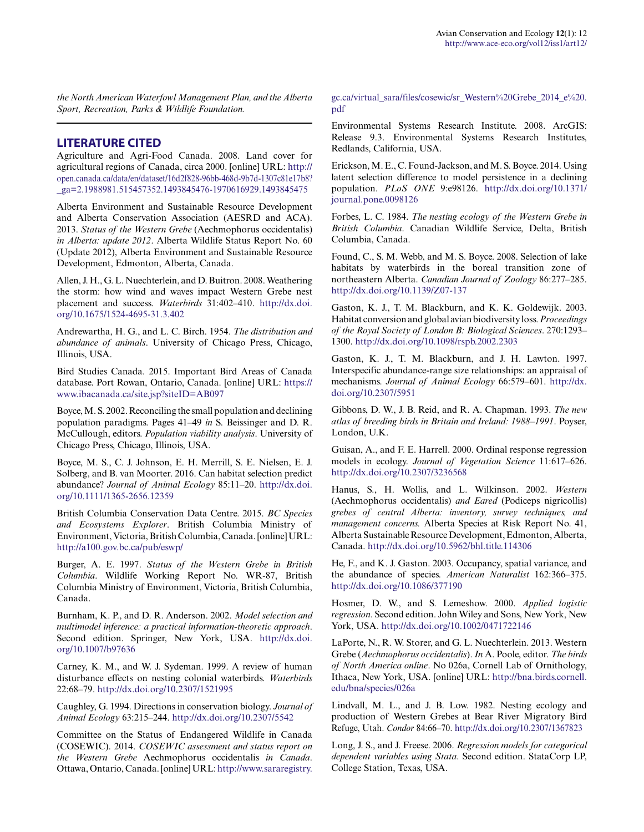*the North American Waterfowl Management Plan, and the Alberta Sport, Recreation, Parks & Wildlife Foundation.*

# **LITERATURE CITED**

Agriculture and Agri-Food Canada. 2008. Land cover for agricultural regions of Canada, circa 2000. [online] URL: [http://](http://open.canada.ca/data/en/dataset/16d2f828-96bb-468d-9b7d-1307c81e17b8?_ga=2.1988981.515457352.1493845476-1970616929.1493845475) [open.canada.ca/data/en/dataset/16d2f828-96bb-468d-9b7d-1307c81e17b8?](http://open.canada.ca/data/en/dataset/16d2f828-96bb-468d-9b7d-1307c81e17b8?_ga=2.1988981.515457352.1493845476-1970616929.1493845475) [\\_ga=2.1988981.515457352.1493845476-1970616929.1493845475](http://open.canada.ca/data/en/dataset/16d2f828-96bb-468d-9b7d-1307c81e17b8?_ga=2.1988981.515457352.1493845476-1970616929.1493845475) 

Alberta Environment and Sustainable Resource Development and Alberta Conservation Association (AESRD and ACA). 2013. *Status of the Western Grebe* (Aechmophorus occidentalis) *in Alberta: update 2012*. Alberta Wildlife Status Report No. 60 (Update 2012), Alberta Environment and Sustainable Resource Development, Edmonton, Alberta, Canada.

Allen, J. H., G. L. Nuechterlein, and D. Buitron. 2008. Weathering the storm: how wind and waves impact Western Grebe nest placement and success. *Waterbirds* 31:402–410. [http://dx.doi.](http://dx.doi.org/10.1675%2F1524-4695-31.3.402) [org/10.1675/1524-4695-31.3.402](http://dx.doi.org/10.1675%2F1524-4695-31.3.402)

Andrewartha, H. G., and L. C. Birch. 1954. *The distribution and abundance of animals*. University of Chicago Press, Chicago, Illinois, USA.

Bird Studies Canada. 2015. Important Bird Areas of Canada database. Port Rowan, Ontario, Canada. [online] URL: [https://](https://www.ibacanada.ca/site.jsp?siteID=AB097) [www.ibacanada.ca/site.jsp?siteID=AB097](https://www.ibacanada.ca/site.jsp?siteID=AB097) 

Boyce, M. S. 2002. Reconciling the small population and declining population paradigms. Pages 41–49 *in* S. Beissinger and D. R. McCullough, editors. *Population viability analysis*. University of Chicago Press, Chicago, Illinois, USA.

Boyce, M. S., C. J. Johnson, E. H. Merrill, S. E. Nielsen, E. J. Solberg, and B. van Moorter. 2016. Can habitat selection predict abundance? *Journal of Animal Ecology* 85:11–20. [http://dx.doi.](http://dx.doi.org/10.1111%2F1365-2656.12359) [org/10.1111/1365-2656.12359](http://dx.doi.org/10.1111%2F1365-2656.12359)

British Columbia Conservation Data Centre. 2015. *BC Species and Ecosystems Explorer*. British Columbia Ministry of Environment, Victoria, British Columbia, Canada. [online] URL: <http://a100.gov.bc.ca/pub/eswp/>

Burger, A. E. 1997. *Status of the Western Grebe in British Columbia*. Wildlife Working Report No. WR-87, British Columbia Ministry of Environment, Victoria, British Columbia, Canada.

Burnham, K. P., and D. R. Anderson. 2002. *Model selection and multimodel inference: a practical information-theoretic approach*. Second edition. Springer, New York, USA. [http://dx.doi.](http://dx.doi.org/10.1007%2Fb97636) [org/10.1007/b97636](http://dx.doi.org/10.1007%2Fb97636) 

Carney, K. M., and W. J. Sydeman. 1999. A review of human disturbance effects on nesting colonial waterbirds. *Waterbirds* 22:68–79. [http://dx.doi.org/10.2307/1521995](http://dx.doi.org/10.2307%2F1521995)

Caughley, G. 1994. Directions in conservation biology. *Journal of Animal Ecology* 63:215–244. [http://dx.doi.org/10.2307/5542](http://dx.doi.org/10.2307%2F5542)

Committee on the Status of Endangered Wildlife in Canada (COSEWIC). 2014. *COSEWIC assessment and status report on the Western Grebe* Aechmophorus occidentalis *in Canada*. Ottawa, Ontario, Canada. [online] URL: [http://www.sararegistry.](http://www.sararegistry.gc.ca/virtual_sara/files/cosewic/sr_Western%20Grebe_2014_e%20.pdf)

[gc.ca/virtual\\_sara/files/cosewic/sr\\_Western%20Grebe\\_2014\\_e%20.](http://www.sararegistry.gc.ca/virtual_sara/files/cosewic/sr_Western%20Grebe_2014_e%20.pdf) [pdf](http://www.sararegistry.gc.ca/virtual_sara/files/cosewic/sr_Western%20Grebe_2014_e%20.pdf)

Environmental Systems Research Institute. 2008. ArcGIS: Release 9.3. Environmental Systems Research Institutes, Redlands, California, USA.

Erickson, M. E., C. Found-Jackson, and M. S. Boyce. 2014. Using latent selection difference to model persistence in a declining population. *PLoS ONE* 9:e98126. [http://dx.doi.org/10.1371/](http://dx.doi.org/10.1371%2Fjournal.pone.0098126) [journal.pone.0098126](http://dx.doi.org/10.1371%2Fjournal.pone.0098126)

Forbes, L. C. 1984. *The nesting ecology of the Western Grebe in British Columbia*. Canadian Wildlife Service, Delta, British Columbia, Canada.

Found, C., S. M. Webb, and M. S. Boyce. 2008. Selection of lake habitats by waterbirds in the boreal transition zone of northeastern Alberta. *Canadian Journal of Zoology* 86:277–285. [http://dx.doi.org/10.1139/Z07-137](http://dx.doi.org/10.1139%2FZ07-137) 

Gaston, K. J., T. M. Blackburn, and K. K. Goldewijk. 2003. Habitat conversion and global avian biodiversity loss. *Proceedings of the Royal Society of London B: Biological Sciences*. 270:1293– 1300. [http://dx.doi.org/10.1098/rspb.2002.2303](http://dx.doi.org/10.1098%2Frspb.2002.2303)

Gaston, K. J., T. M. Blackburn, and J. H. Lawton. 1997. Interspecific abundance-range size relationships: an appraisal of mechanisms. *Journal of Animal Ecology* 66:579–601. [http://dx.](http://dx.doi.org/10.2307%2F5951) [doi.org/10.2307/5951](http://dx.doi.org/10.2307%2F5951)

Gibbons, D. W., J. B. Reid, and R. A. Chapman. 1993. *The new atlas of breeding birds in Britain and Ireland: 1988–1991*. Poyser, London, U.K.

Guisan, A., and F. E. Harrell. 2000. Ordinal response regression models in ecology. *Journal of Vegetation Science* 11:617–626. [http://dx.doi.org/10.2307/3236568](http://dx.doi.org/10.2307%2F3236568) 

Hanus, S., H. Wollis, and L. Wilkinson. 2002. *Western* (Aechmophorus occidentalis) *and Eared* (Podiceps nigricollis) *grebes of central Alberta: inventory, survey techniques, and management concerns.* Alberta Species at Risk Report No. 41, Alberta Sustainable Resource Development, Edmonton, Alberta, Canada. [http://dx.doi.org/10.5962/bhl.title.114306](http://dx.doi.org/10.5962%2Fbhl.title.114306)

He, F., and K. J. Gaston. 2003. Occupancy, spatial variance, and the abundance of species. *American Naturalist* 162:366–375. [http://dx.doi.org/10.1086/377190](http://dx.doi.org/10.1086%2F377190)

Hosmer, D. W., and S. Lemeshow. 2000. *Applied logistic regression*. Second edition. John Wiley and Sons, New York, New York, USA. [http://dx.doi.org/10.1002/0471722146](http://dx.doi.org/10.1002%2F0471722146) 

LaPorte, N., R. W. Storer, and G. L. Nuechterlein. 2013. Western Grebe (*Aechmophorus occidentalis*). *In* A. Poole, editor. *The birds of North America online*. No 026a, Cornell Lab of Ornithology, Ithaca, New York, USA. [online] URL: [http://bna.birds.cornell.](http://bna.birds.cornell.edu/bna/species/026a) [edu/bna/species/026a](http://bna.birds.cornell.edu/bna/species/026a)

Lindvall, M. L., and J. B. Low. 1982. Nesting ecology and production of Western Grebes at Bear River Migratory Bird Refuge, Utah. *Condor* 84:66–70. [http://dx.doi.org/10.2307/1367823](http://dx.doi.org/10.2307%2F1367823) 

Long, J. S., and J. Freese. 2006. *Regression models for categorical dependent variables using Stata*. Second edition. StataCorp LP, College Station, Texas, USA.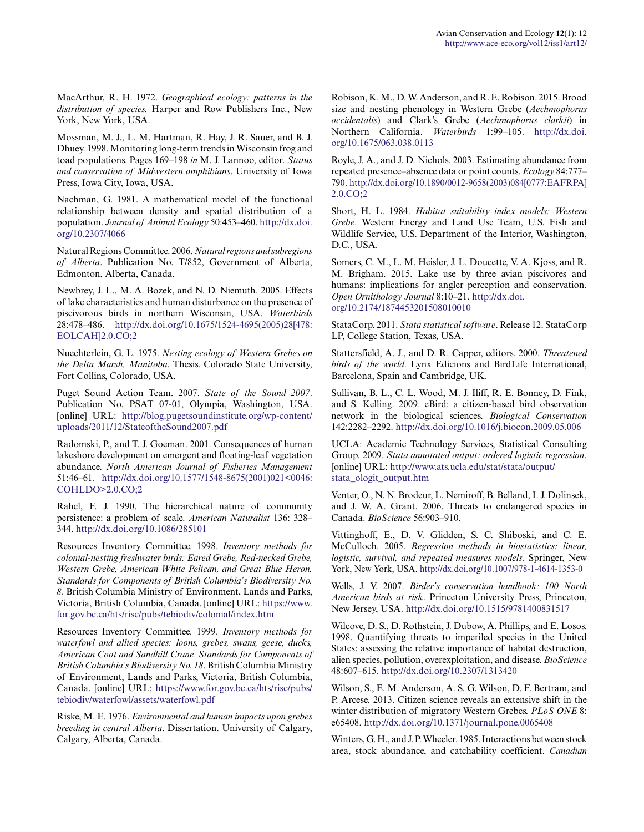MacArthur, R. H. 1972. *Geographical ecology: patterns in the distribution of species.* Harper and Row Publishers Inc., New York, New York, USA.

Mossman, M. J., L. M. Hartman, R. Hay, J. R. Sauer, and B. J. Dhuey. 1998. Monitoring long-term trends in Wisconsin frog and toad populations. Pages 169–198 *in* M. J. Lannoo, editor. *Status and conservation of Midwestern amphibians*. University of Iowa Press, Iowa City, Iowa, USA.

Nachman, G. 1981. A mathematical model of the functional relationship between density and spatial distribution of a population. *Journal of Animal Ecology* 50:453–460. [http://dx.doi.](http://dx.doi.org/10.2307%2F4066) [org/10.2307/4066](http://dx.doi.org/10.2307%2F4066)

Natural Regions Committee. 2006. *Natural regions and subregions of Alberta*. Publication No. T/852, Government of Alberta, Edmonton, Alberta, Canada.

Newbrey, J. L., M. A. Bozek, and N. D. Niemuth. 2005. Effects of lake characteristics and human disturbance on the presence of piscivorous birds in northern Wisconsin, USA. *Waterbirds* 28:478–486. [http://dx.doi.org/10.1675/1524-4695\(2005\)28\[478:](http://dx.doi.org/10.1675%2F1524-4695%282005%2928%5B478%3AEOLCAH%5D2.0.CO%3B2) [EOLCAH\]2.0.CO;2](http://dx.doi.org/10.1675%2F1524-4695%282005%2928%5B478%3AEOLCAH%5D2.0.CO%3B2)

Nuechterlein, G. L. 1975. *Nesting ecology of Western Grebes on the Delta Marsh, Manitoba*. Thesis. Colorado State University, Fort Collins, Colorado, USA.

Puget Sound Action Team. 2007. *State of the Sound 2007*. Publication No. PSAT 07-01, Olympia, Washington, USA. [online] URL: [http://blog.pugetsoundinstitute.org/wp-content/](http://blog.pugetsoundinstitute.org/wp-content/uploads/2011/12/StateoftheSound2007.pdf) [uploads/2011/12/StateoftheSound2007.pdf](http://blog.pugetsoundinstitute.org/wp-content/uploads/2011/12/StateoftheSound2007.pdf)

Radomski, P., and T. J. Goeman. 2001. Consequences of human lakeshore development on emergent and floating-leaf vegetation abundance. *North American Journal of Fisheries Management* 51:46–61. [http://dx.doi.org/10.1577/1548-8675\(2001\)021<0046:](http://dx.doi.org/10.1577%2F1548-8675%282001%29021%3C0046%3ACOHLDO%3E2.0.CO%3B2) [COHLDO>2.0.CO;2](http://dx.doi.org/10.1577%2F1548-8675%282001%29021%3C0046%3ACOHLDO%3E2.0.CO%3B2)

Rahel, F. J. 1990. The hierarchical nature of community persistence: a problem of scale. *American Naturalist* 136: 328– 344. [http://dx.doi.org/10.1086/285101](http://dx.doi.org/10.1086%2F285101) 

Resources Inventory Committee. 1998. *Inventory methods for colonial-nesting freshwater birds: Eared Grebe, Red-necked Grebe, Western Grebe, American White Pelican, and Great Blue Heron. Standards for Components of British Columbia's Biodiversity No. 8*. British Columbia Ministry of Environment, Lands and Parks, Victoria, British Columbia, Canada. [online] URL: [https://www.](https://www.for.gov.bc.ca/hts/risc/pubs/tebiodiv/colonial/index.htm) [for.gov.bc.ca/hts/risc/pubs/tebiodiv/colonial/index.htm](https://www.for.gov.bc.ca/hts/risc/pubs/tebiodiv/colonial/index.htm)

Resources Inventory Committee. 1999. *Inventory methods for waterfowl and allied species: loons, grebes, swans, geese, ducks, American Coot and Sandhill Crane. Standards for Components of British Columbia's Biodiversity No. 18*. British Columbia Ministry of Environment, Lands and Parks, Victoria, British Columbia, Canada. [online] URL: [https://www.for.gov.bc.ca/hts/risc/pubs/](https://www.for.gov.bc.ca/hts/risc/pubs/tebiodiv/waterfowl/assets/waterfowl.pdf) [tebiodiv/waterfowl/assets/waterfowl.pdf](https://www.for.gov.bc.ca/hts/risc/pubs/tebiodiv/waterfowl/assets/waterfowl.pdf)

Riske, M. E. 1976. *Environmental and human impacts upon grebes breeding in central Alberta*. Dissertation. University of Calgary, Calgary, Alberta, Canada.

Robison, K. M., D. W. Anderson, and R. E. Robison. 2015. Brood size and nesting phenology in Western Grebe (*Aechmophorus occidentalis*) and Clark's Grebe (*Aechmophorus clarkii*) in Northern California. *Waterbirds* 1:99–105. [http://dx.doi.](http://dx.doi.org/10.1675%2F063.038.0113) [org/10.1675/063.038.0113](http://dx.doi.org/10.1675%2F063.038.0113)

Royle, J. A., and J. D. Nichols. 2003. Estimating abundance from repeated presence–absence data or point counts. *Ecology* 84:777– 790. [http://dx.doi.org/10.1890/0012-9658\(2003\)084\[0777:EAFRPA\]](http://dx.doi.org/10.1890%2F0012-9658%282003%29084%5B0777%3AEAFRPA%5D2.0.CO%3B2) [2.0.CO;2](http://dx.doi.org/10.1890%2F0012-9658%282003%29084%5B0777%3AEAFRPA%5D2.0.CO%3B2)

Short, H. L. 1984. *Habitat suitability index models: Western Grebe*. Western Energy and Land Use Team, U.S. Fish and Wildlife Service, U.S. Department of the Interior, Washington, D.C., USA.

Somers, C. M., L. M. Heisler, J. L. Doucette, V. A. Kjoss, and R. M. Brigham. 2015. Lake use by three avian piscivores and humans: implications for angler perception and conservation. *Open Ornithology Journal* 8:10–21. [http://dx.doi.](http://dx.doi.org/10.2174%2F1874453201508010010) [org/10.2174/1874453201508010010](http://dx.doi.org/10.2174%2F1874453201508010010) 

StataCorp. 2011. *Stata statistical software*. Release 12. StataCorp LP, College Station, Texas, USA.

Stattersfield, A. J., and D. R. Capper, editors. 2000. *Threatened birds of the world*. Lynx Edicions and BirdLife International, Barcelona, Spain and Cambridge, UK.

Sullivan, B. L., C. L. Wood, M. J. Iliff, R. E. Bonney, D. Fink, and S. Kelling. 2009. eBird: a citizen-based bird observation network in the biological sciences. *Biological Conservation* 142:2282–2292. [http://dx.doi.org/10.1016/j.biocon.2009.05.006](http://dx.doi.org/10.1016%2Fj.biocon.2009.05.006)

UCLA: Academic Technology Services, Statistical Consulting Group. 2009. *Stata annotated output: ordered logistic regression*. [online] URL: [http://www.ats.ucla.edu/stat/stata/output/](http://www.ats.ucla.edu/stat/stata/output/stata_ologit_output.htm) [stata\\_ologit\\_output.htm](http://www.ats.ucla.edu/stat/stata/output/stata_ologit_output.htm) 

Venter, O., N. N. Brodeur, L. Nemiroff, B. Belland, I. J. Dolinsek, and J. W. A. Grant. 2006. Threats to endangered species in Canada. *BioScience* 56:903–910.

Vittinghoff, E., D. V. Glidden, S. C. Shiboski, and C. E. McCulloch. 2005. *Regression methods in biostatistics: linear, logistic, survival, and repeated measures models*. Springer, New York, New York, USA. [http://dx.doi.org/10.1007/978-1-4614-1353-0](http://dx.doi.org/10.1007%2F978-1-4614-1353-0) 

Wells, J. V. 2007. *Birder's conservation handbook: 100 North American birds at risk*. Princeton University Press, Princeton, New Jersey, USA. [http://dx.doi.org/10.1515/9781400831517](http://dx.doi.org/10.1515%2F9781400831517) 

Wilcove, D. S., D. Rothstein, J. Dubow, A. Phillips, and E. Losos. 1998. Quantifying threats to imperiled species in the United States: assessing the relative importance of habitat destruction, alien species, pollution, overexploitation, and disease. *BioScience* 48:607–615. [http://dx.doi.org/10.2307/1313420](http://dx.doi.org/10.2307%2F1313420)

Wilson, S., E. M. Anderson, A. S. G. Wilson, D. F. Bertram, and P. Arcese. 2013. Citizen science reveals an extensive shift in the winter distribution of migratory Western Grebes. *PLoS ONE* 8: e65408. [http://dx.doi.org/10.1371/journal.pone.0065408](http://dx.doi.org/10.1371%2Fjournal.pone.0065408) 

Winters, G. H., and J. P. Wheeler. 1985. Interactions between stock area, stock abundance, and catchability coefficient. *Canadian*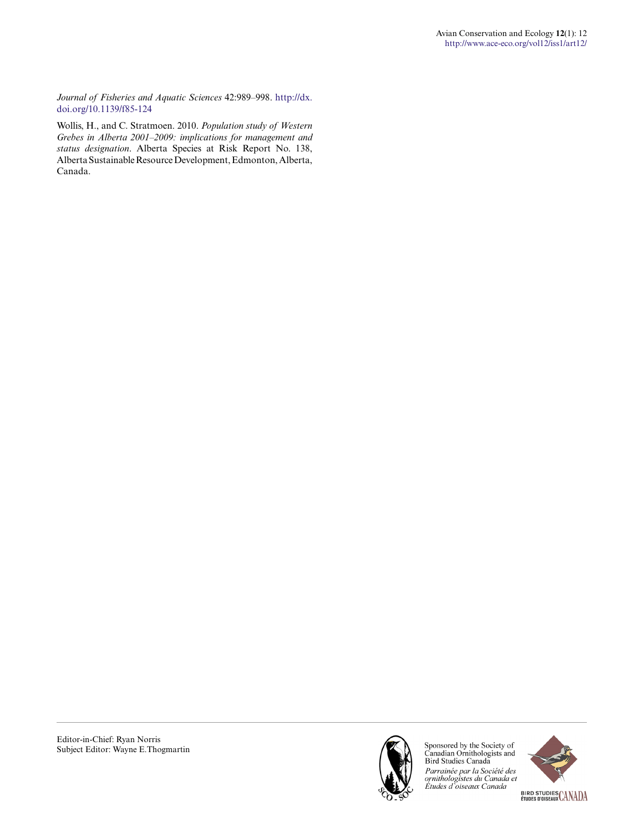*Journal of Fisheries and Aquatic Sciences* 42:989–998. [http://dx.](http://dx.doi.org/10.1139%2Ff85-124) [doi.org/10.1139/f85-124](http://dx.doi.org/10.1139%2Ff85-124)

Wollis, H., and C. Stratmoen. 2010. *Population study of Western Grebes in Alberta 2001–2009: implications for management and status designation*. Alberta Species at Risk Report No. 138, Alberta Sustainable Resource Development, Edmonton, Alberta, Canada.



Sponsored by the Society of<br>Canadian Ornithologists and<br>Bird Studies Canada Parrainée par la Société des<br>ornithologistes du Canada et<br>Études d'oiseaux Canada



BIRD STUDIES CANADA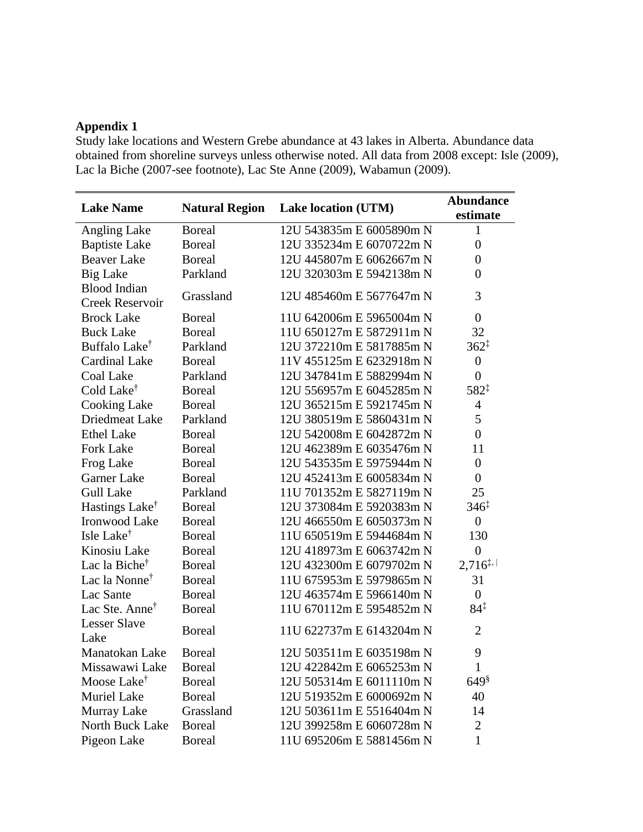# **Appendix 1**

Study lake locations and Western Grebe abundance at 43 lakes in Alberta. Abundance data obtained from shoreline surveys unless otherwise noted. All data from 2008 except: Isle (2009), Lac la Biche (2007-see footnote), Lac Ste Anne (2009), Wabamun (2009).

| <b>Lake Name</b>                              | <b>Natural Region</b> | <b>Lake location (UTM)</b> | <b>Abundance</b>           |
|-----------------------------------------------|-----------------------|----------------------------|----------------------------|
|                                               |                       |                            | estimate                   |
| <b>Angling Lake</b>                           | <b>Boreal</b>         | 12U 543835m E 6005890m N   | 1                          |
| <b>Baptiste Lake</b>                          | <b>Boreal</b>         | 12U 335234m E 6070722m N   | $\overline{0}$             |
| <b>Beaver Lake</b>                            | <b>Boreal</b>         | 12U 445807m E 6062667m N   | $\overline{0}$             |
| <b>Big Lake</b>                               | Parkland              | 12U 320303m E 5942138m N   | $\boldsymbol{0}$           |
| <b>Blood Indian</b><br><b>Creek Reservoir</b> | Grassland             | 12U 485460m E 5677647m N   | 3                          |
| <b>Brock Lake</b>                             | <b>Boreal</b>         | 11U 642006m E 5965004m N   | $\boldsymbol{0}$           |
| <b>Buck Lake</b>                              | <b>Boreal</b>         | 11U 650127m E 5872911m N   | 32                         |
| Buffalo Lake <sup>†</sup>                     | Parkland              | 12U 372210m E 5817885m N   | $362^{\ddagger}$           |
| <b>Cardinal Lake</b>                          | <b>Boreal</b>         | 11V 455125m E 6232918m N   | $\theta$                   |
| Coal Lake                                     | Parkland              | 12U 347841m E 5882994m N   | $\overline{0}$             |
| Cold Lake <sup>†</sup>                        | <b>Boreal</b>         | 12U 556957m E 6045285m N   | $582^{\ddagger}$           |
| <b>Cooking Lake</b>                           | <b>Boreal</b>         | 12U 365215m E 5921745m N   | $\overline{4}$             |
| <b>Driedmeat Lake</b>                         | Parkland              | 12U 380519m E 5860431m N   | 5                          |
| <b>Ethel Lake</b>                             | <b>Boreal</b>         | 12U 542008m E 6042872m N   | $\overline{0}$             |
| <b>Fork Lake</b>                              | <b>Boreal</b>         | 12U 462389m E 6035476m N   | 11                         |
| Frog Lake                                     | <b>Boreal</b>         | 12U 543535m E 5975944m N   | $\boldsymbol{0}$           |
| <b>Garner Lake</b>                            | <b>Boreal</b>         | 12U 452413m E 6005834m N   | $\overline{0}$             |
| <b>Gull Lake</b>                              | Parkland              | 11U 701352m E 5827119m N   | 25                         |
| Hastings Lake <sup>†</sup>                    | <b>Boreal</b>         | 12U 373084m E 5920383m N   | $346^{\ddagger}$           |
| <b>Ironwood Lake</b>                          | <b>Boreal</b>         | 12U 466550m E 6050373m N   | $\overline{0}$             |
| Isle Lake <sup>†</sup>                        | <b>Boreal</b>         | 11U 650519m E 5944684m N   | 130                        |
| Kinosiu Lake                                  | <b>Boreal</b>         | 12U 418973m E 6063742m N   | $\overline{0}$             |
| Lac la Biche <sup>†</sup>                     | <b>Boreal</b>         | 12U 432300m E 6079702m N   | $2,716^{\ddagger,\dagger}$ |
| Lac la Nonne <sup>†</sup>                     | <b>Boreal</b>         | 11U 675953m E 5979865m N   | 31                         |
| Lac Sante                                     | <b>Boreal</b>         | 12U 463574m E 5966140m N   | $\theta$                   |
| Lac Ste. Anne <sup>†</sup>                    | <b>Boreal</b>         | 11U 670112m E 5954852m N   | $84^{\ddagger}$            |
| <b>Lesser Slave</b><br>Lake                   | <b>Boreal</b>         | 11U 622737m E 6143204m N   | $\overline{2}$             |
| Manatokan Lake                                | <b>Boreal</b>         | 12U 503511m E 6035198m N   | 9                          |
| Missawawi Lake                                | <b>Boreal</b>         | 12U 422842m E 6065253m N   | 1                          |
| Moose Lake <sup>†</sup>                       | <b>Boreal</b>         | 12U 505314m E 6011110m N   | $649^{\$}$                 |
| <b>Muriel Lake</b>                            | <b>Boreal</b>         | 12U 519352m E 6000692m N   | 40                         |
| Murray Lake                                   | Grassland             | 12U 503611m E 5516404m N   | 14                         |
| North Buck Lake                               | <b>Boreal</b>         | 12U 399258m E 6060728m N   | $\overline{2}$             |
| Pigeon Lake                                   | <b>Boreal</b>         | 11U 695206m E 5881456m N   | 1                          |